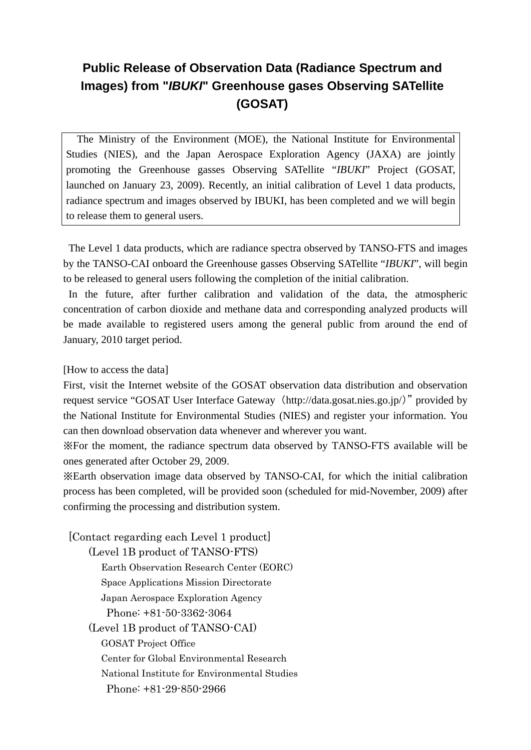## **Public Release of Observation Data (Radiance Spectrum and Images) from "***IBUKI***" Greenhouse gases Observing SATellite (GOSAT)**

The Ministry of the Environment (MOE), the National Institute for Environmental Studies (NIES), and the Japan Aerospace Exploration Agency (JAXA) are jointly promoting the Greenhouse gasses Observing SATellite "*IBUKI*" Project (GOSAT, launched on January 23, 2009). Recently, an initial calibration of Level 1 data products, radiance spectrum and images observed by IBUKI, has been completed and we will begin to release them to general users.

The Level 1 data products, which are radiance spectra observed by TANSO-FTS and images by the TANSO-CAI onboard the Greenhouse gasses Observing SATellite "*IBUKI*", will begin to be released to general users following the completion of the initial calibration.

In the future, after further calibration and validation of the data, the atmospheric concentration of carbon dioxide and methane data and corresponding analyzed products will be made available to registered users among the general public from around the end of January, 2010 target period.

## [How to access the data]

First, visit the Internet website of the GOSAT observation data distribution and observation request service "GOSAT User Interface Gateway (http://data.gosat.nies.go.jp/)" provided by the National Institute for Environmental Studies (NIES) and register your information. You can then download observation data whenever and wherever you want.

※For the moment, the radiance spectrum data observed by TANSO-FTS available will be ones generated after October 29, 2009.

※Earth observation image data observed by TANSO-CAI, for which the initial calibration process has been completed, will be provided soon (scheduled for mid-November, 2009) after confirming the processing and distribution system.

 [Contact regarding each Level 1 product] (Level 1B product of TANSO-FTS) Earth Observation Research Center (EORC) Space Applications Mission Directorate Japan Aerospace Exploration Agency Phone: +81-50-3362-3064 (Level 1B product of TANSO-CAI) GOSAT Project Office Center for Global Environmental Research National Institute for Environmental Studies Phone: +81-29-850-2966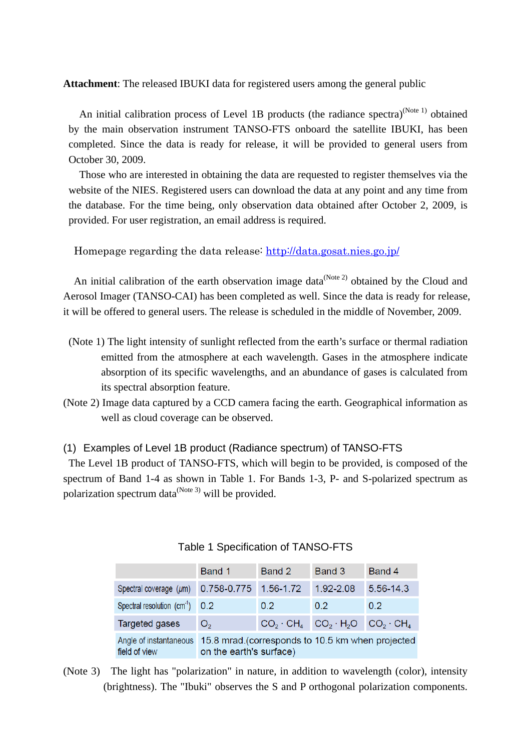**Attachment**: The released IBUKI data for registered users among the general public

An initial calibration process of Level 1B products (the radiance spectra)<sup>(Note 1)</sup> obtained by the main observation instrument TANSO-FTS onboard the satellite IBUKI, has been completed. Since the data is ready for release, it will be provided to general users from October 30, 2009.

 Those who are interested in obtaining the data are requested to register themselves via the website of the NIES. Registered users can download the data at any point and any time from the database. For the time being, only observation data obtained after October 2, 2009, is provided. For user registration, an email address is required.

Homepage regarding the data release:<http://data.gosat.nies.go.jp/>

An initial calibration of the earth observation image data<sup>(Note 2)</sup> obtained by the Cloud and Aerosol Imager (TANSO-CAI) has been completed as well. Since the data is ready for release, it will be offered to general users. The release is scheduled in the middle of November, 2009.

- (Note 1) The light intensity of sunlight reflected from the earth's surface or thermal radiation emitted from the atmosphere at each wavelength. Gases in the atmosphere indicate absorption of its specific wavelengths, and an abundance of gases is calculated from its spectral absorption feature.
- (Note 2) Image data captured by a CCD camera facing the earth. Geographical information as well as cloud coverage can be observed.
- (1) Examples of Level 1B product (Radiance spectrum) of TANSO-FTS

The Level 1B product of TANSO-FTS, which will begin to be provided, is composed of the spectrum of Band 1-4 as shown in Table 1. For Bands 1-3, P- and S-polarized spectrum as polarization spectrum data $^{(Note 3)}$  will be provided.

|                                         | Band 1                                                                      | Band 2                              | Band 3    | Band 4            |  |
|-----------------------------------------|-----------------------------------------------------------------------------|-------------------------------------|-----------|-------------------|--|
| Spectral coverage $(\mu m)$             | 0.758-0.775                                                                 | 1.56-1.72                           | 1.92-2.08 | 5.56-14.3         |  |
| Spectral resolution $(cm-1)$ 0.2        |                                                                             | 0.2                                 | 0.2       | 0.2               |  |
| Targeted gases                          | O <sub>2</sub>                                                              | $CO_2 \cdot CH_4$ $CO_2 \cdot H_2O$ |           | $CO_2 \cdot CH_4$ |  |
| Angle of instantaneous<br>field of view | 15.8 mrad.(corresponds to 10.5 km when projected<br>on the earth's surface) |                                     |           |                   |  |

## Table 1 Specification of TANSO-FTS

(Note 3) The light has "polarization" in nature, in addition to wavelength (color), intensity (brightness). The "Ibuki" observes the S and P orthogonal polarization components.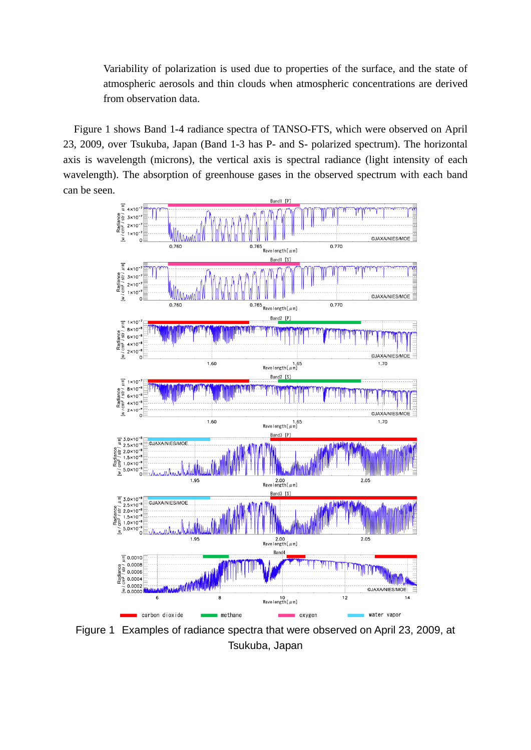Variability of polarization is used due to properties of the surface, and the state of atmospheric aerosols and thin clouds when atmospheric concentrations are derived from observation data.

Figure 1 shows Band 1-4 radiance spectra of TANSO-FTS, which were observed on April 23, 2009, over Tsukuba, Japan (Band 1-3 has P- and S- polarized spectrum). The horizontal axis is wavelength (microns), the vertical axis is spectral radiance (light intensity of each wavelength). The absorption of greenhouse gases in the observed spectrum with each band can be seen.



Figure 1 Examples of radiance spectra that were observed on April 23, 2009, at Tsukuba, Japan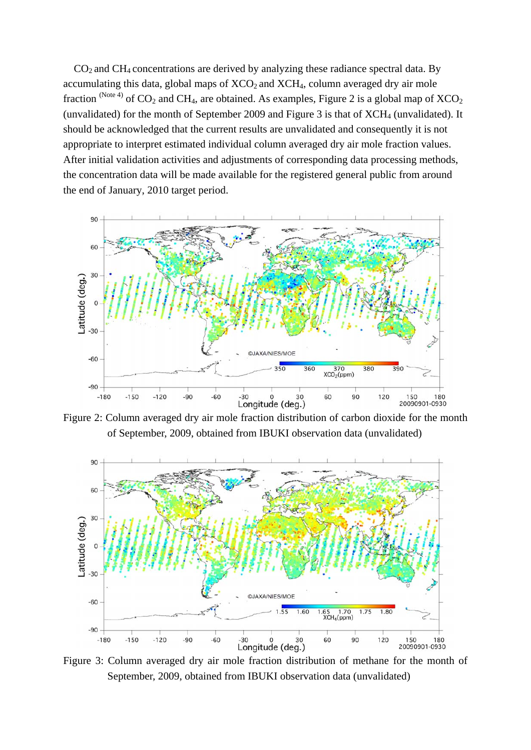$CO<sub>2</sub>$  and  $CH<sub>4</sub>$  concentrations are derived by analyzing these radiance spectral data. By accumulating this data, global maps of  $XCO<sub>2</sub>$  and  $XCH<sub>4</sub>$ , column averaged dry air mole fraction (Note 4) of  $CO_2$  and CH<sub>4</sub>, are obtained. As examples, Figure 2 is a global map of  $XCO_2$ (unvalidated) for the month of September 2009 and Figure 3 is that of  $XCH<sub>4</sub>$  (unvalidated). It should be acknowledged that the current results are unvalidated and consequently it is not appropriate to interpret estimated individual column averaged dry air mole fraction values. After initial validation activities and adjustments of corresponding data processing methods, the concentration data will be made available for the registered general public from around the end of January, 2010 target period.



Figure 2: Column averaged dry air mole fraction distribution of carbon dioxide for the month of September, 2009, obtained from IBUKI observation data (unvalidated)



Figure 3: Column averaged dry air mole fraction distribution of methane for the month of September, 2009, obtained from IBUKI observation data (unvalidated)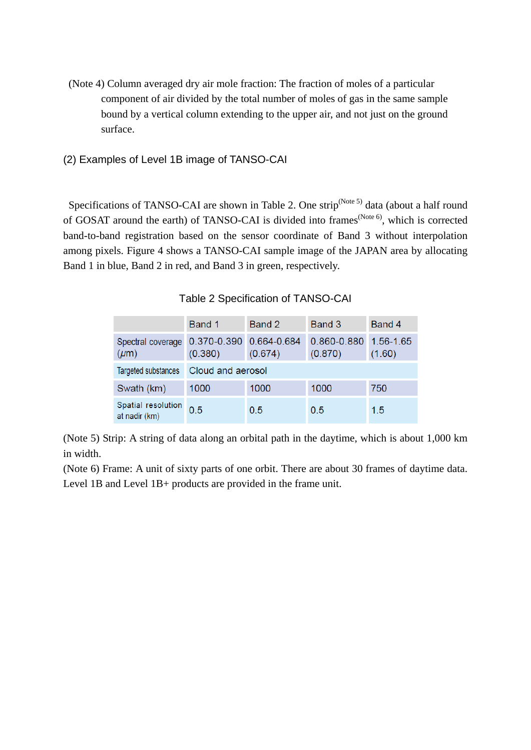- (Note 4) Column averaged dry air mole fraction: The fraction of moles of a particular component of air divided by the total number of moles of gas in the same sample bound by a vertical column extending to the upper air, and not just on the ground surface.
- (2) Examples of Level 1B image of TANSO-CAI

Specifications of TANSO-CAI are shown in Table 2. One strip<sup>(Note 5)</sup> data (about a half round of GOSAT around the earth) of TANSO-CAI is divided into frames<sup>(Note 6)</sup>, which is corrected band-to-band registration based on the sensor coordinate of Band 3 without interpolation among pixels. Figure 4 shows a TANSO-CAI sample image of the JAPAN area by allocating Band 1 in blue, Band 2 in red, and Band 3 in green, respectively.

Table 2 Specification of TANSO-CAI

|                                     | Band 1                 | Band 2                 | Band 3                 | Band 4              |  |
|-------------------------------------|------------------------|------------------------|------------------------|---------------------|--|
| Spectral coverage<br>$(\mu m)$      | 0.370-0.390<br>(0.380) | 0.664-0.684<br>(0.674) | 0.860-0.880<br>(0.870) | 1.56-1.65<br>(1.60) |  |
| Targeted substances                 | Cloud and aerosol      |                        |                        |                     |  |
| Swath (km)                          | 1000                   | 1000                   | 1000                   | 750                 |  |
| Spatial resolution<br>at nadir (km) | 0.5                    | 0.5                    | 0.5                    | 1.5                 |  |

(Note 5) Strip: A string of data along an orbital path in the daytime, which is about 1,000 km in width.

(Note 6) Frame: A unit of sixty parts of one orbit. There are about 30 frames of daytime data. Level 1B and Level 1B+ products are provided in the frame unit.